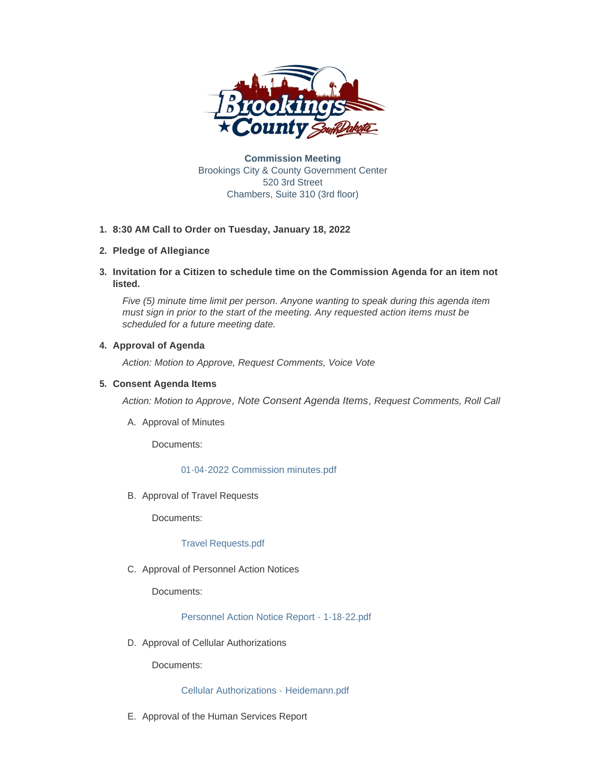

**Commission Meeting** Brookings City & County Government Center 520 3rd Street Chambers, Suite 310 (3rd floor)

# **8:30 AM Call to Order on Tuesday, January 18, 2022 1.**

# **Pledge of Allegiance 2.**

**Invitation for a Citizen to schedule time on the Commission Agenda for an item not 3. listed.**

*Five (5) minute time limit per person. Anyone wanting to speak during this agenda item must sign in prior to the start of the meeting. Any requested action items must be scheduled for a future meeting date.* 

# **4. Approval of Agenda**

*Action: Motion to Approve, Request Comments, Voice Vote* 

# **Consent Agenda Items 5.**

*Action: Motion to Approve, Note Consent Agenda Items, Request Comments, Roll Call* 

A. Approval of Minutes

Documents:

# [01-04-2022 Commission minutes.pdf](http://sd-brookingscounty2.civicplus.com/AgendaCenter/ViewFile/Item/11744?fileID=9891)

B. Approval of Travel Requests

Documents:

## [Travel Requests.pdf](http://sd-brookingscounty2.civicplus.com/AgendaCenter/ViewFile/Item/11745?fileID=9892)

C. Approval of Personnel Action Notices

Documents:

[Personnel Action Notice Report - 1-18-22.pdf](http://sd-brookingscounty2.civicplus.com/AgendaCenter/ViewFile/Item/11746?fileID=9917)

D. Approval of Cellular Authorizations

Documents:

[Cellular Authorizations - Heidemann.pdf](http://sd-brookingscounty2.civicplus.com/AgendaCenter/ViewFile/Item/11747?fileID=9893)

E. Approval of the Human Services Report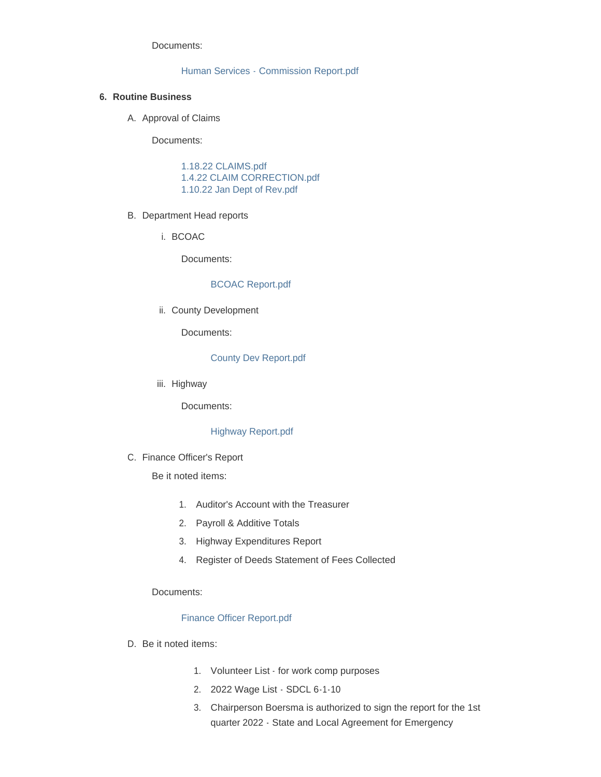Documents:

### [Human Services - Commission Report.pdf](http://sd-brookingscounty2.civicplus.com/AgendaCenter/ViewFile/Item/11748?fileID=9912)

### **Routine Business 6.**

A. Approval of Claims

Documents:

[1.18.22 CLAIMS.pdf](http://sd-brookingscounty2.civicplus.com/AgendaCenter/ViewFile/Item/11749?fileID=9894) [1.4.22 CLAIM CORRECTION.pdf](http://sd-brookingscounty2.civicplus.com/AgendaCenter/ViewFile/Item/11749?fileID=9895) [1.10.22 Jan Dept of Rev.pdf](http://sd-brookingscounty2.civicplus.com/AgendaCenter/ViewFile/Item/11749?fileID=9896)

#### B. Department Head reports

i. BCOAC

Documents:

### [BCOAC Report.pdf](http://sd-brookingscounty2.civicplus.com/AgendaCenter/ViewFile/Item/11739?fileID=9886)

ii. County Development

Documents:

#### [County Dev Report.pdf](http://sd-brookingscounty2.civicplus.com/AgendaCenter/ViewFile/Item/11740?fileID=9887)

iii. Highway

Documents:

# [Highway Report.pdf](http://sd-brookingscounty2.civicplus.com/AgendaCenter/ViewFile/Item/11741?fileID=9888)

C. Finance Officer's Report

Be it noted items:

- 1. Auditor's Account with the Treasurer
- 2. Payroll & Additive Totals
- 3. Highway Expenditures Report
- 4. Register of Deeds Statement of Fees Collected

#### Documents:

## [Finance Officer Report.pdf](http://sd-brookingscounty2.civicplus.com/AgendaCenter/ViewFile/Item/11736?fileID=9881)

- D. Be it noted items:
	- 1. Volunteer List for work comp purposes
	- 2. 2022 Wage List SDCL 6-1-10
	- 3. Chairperson Boersma is authorized to sign the report for the 1st quarter 2022 - State and Local Agreement for Emergency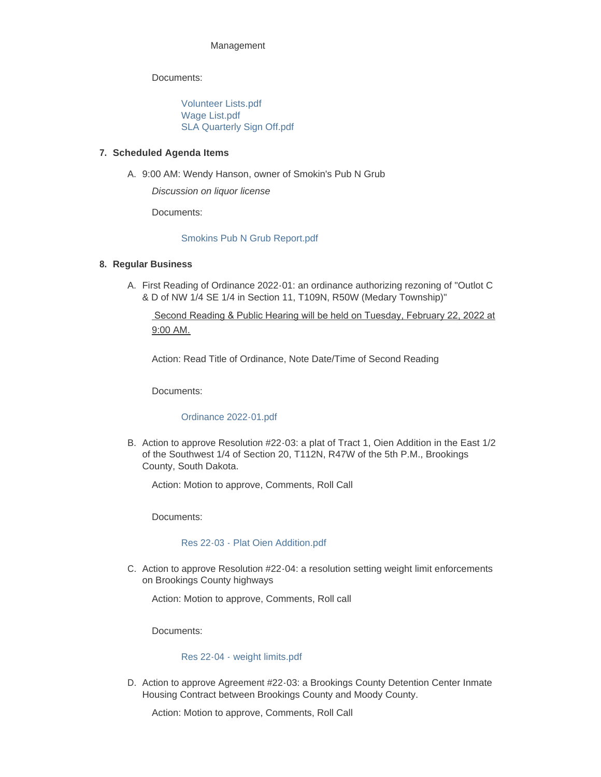### Management

Documents:

[Volunteer Lists.pdf](http://sd-brookingscounty2.civicplus.com/AgendaCenter/ViewFile/Item/11738?fileID=9883) [Wage List.pdf](http://sd-brookingscounty2.civicplus.com/AgendaCenter/ViewFile/Item/11738?fileID=9884) [SLA Quarterly Sign Off.pdf](http://sd-brookingscounty2.civicplus.com/AgendaCenter/ViewFile/Item/11738?fileID=9885)

### **Scheduled Agenda Items 7.**

9:00 AM: Wendy Hanson, owner of Smokin's Pub N Grub A.

*Discussion on liquor license*

Documents:

[Smokins Pub N Grub Report.pdf](http://sd-brookingscounty2.civicplus.com/AgendaCenter/ViewFile/Item/11737?fileID=9882)

### **Regular Business 8.**

A. First Reading of Ordinance 2022-01: an ordinance authorizing rezoning of "Outlot C & D of NW 1/4 SE 1/4 in Section 11, T109N, R50W (Medary Township)"

 Second Reading & Public Hearing will be held on Tuesday, February 22, 2022 at 9:00 AM.

Action: Read Title of Ordinance, Note Date/Time of Second Reading

Documents:

## [Ordinance 2022-01.pdf](http://sd-brookingscounty2.civicplus.com/AgendaCenter/ViewFile/Item/11735?fileID=9880)

B. Action to approve Resolution #22-03: a plat of Tract 1, Oien Addition in the East 1/2 of the Southwest 1/4 of Section 20, T112N, R47W of the 5th P.M., Brookings County, South Dakota.

Action: Motion to approve, Comments, Roll Call

Documents:

## [Res 22-03 - Plat Oien Addition.pdf](http://sd-brookingscounty2.civicplus.com/AgendaCenter/ViewFile/Item/11742?fileID=9889)

C. Action to approve Resolution #22-04: a resolution setting weight limit enforcements on Brookings County highways

Action: Motion to approve, Comments, Roll call

Documents:

#### [Res 22-04 - weight limits.pdf](http://sd-brookingscounty2.civicplus.com/AgendaCenter/ViewFile/Item/11743?fileID=9890)

D. Action to approve Agreement #22-03: a Brookings County Detention Center Inmate Housing Contract between Brookings County and Moody County.

Action: Motion to approve, Comments, Roll Call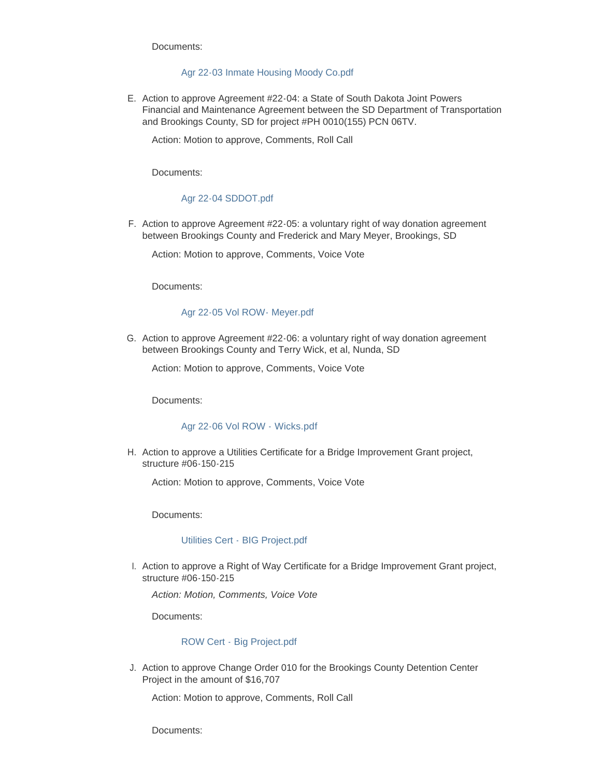Documents:

### [Agr 22-03 Inmate Housing Moody Co.pdf](http://sd-brookingscounty2.civicplus.com/AgendaCenter/ViewFile/Item/11750?fileID=9897)

E. Action to approve Agreement #22-04: a State of South Dakota Joint Powers Financial and Maintenance Agreement between the SD Department of Transportation and Brookings County, SD for project #PH 0010(155) PCN 06TV.

Action: Motion to approve, Comments, Roll Call

Documents:

### [Agr 22-04 SDDOT.pdf](http://sd-brookingscounty2.civicplus.com/AgendaCenter/ViewFile/Item/11751?fileID=9898)

F. Action to approve Agreement #22-05: a voluntary right of way donation agreement between Brookings County and Frederick and Mary Meyer, Brookings, SD

Action: Motion to approve, Comments, Voice Vote

Documents:

#### [Agr 22-05 Vol ROW- Meyer.pdf](http://sd-brookingscounty2.civicplus.com/AgendaCenter/ViewFile/Item/11752?fileID=9899)

G. Action to approve Agreement #22-06: a voluntary right of way donation agreement between Brookings County and Terry Wick, et al, Nunda, SD

Action: Motion to approve, Comments, Voice Vote

Documents:

#### [Agr 22-06 Vol ROW - Wicks.pdf](http://sd-brookingscounty2.civicplus.com/AgendaCenter/ViewFile/Item/11753?fileID=9900)

H. Action to approve a Utilities Certificate for a Bridge Improvement Grant project, structure #06-150-215

Action: Motion to approve, Comments, Voice Vote

Documents:

### [Utilities Cert - BIG Project.pdf](http://sd-brookingscounty2.civicplus.com/AgendaCenter/ViewFile/Item/11754?fileID=9901)

I. Action to approve a Right of Way Certificate for a Bridge Improvement Grant project, structure #06-150-215

*Action: Motion, Comments, Voice Vote*

Documents:

## [ROW Cert - Big Project.pdf](http://sd-brookingscounty2.civicplus.com/AgendaCenter/ViewFile/Item/11755?fileID=9902)

J. Action to approve Change Order 010 for the Brookings County Detention Center Project in the amount of \$16,707

Action: Motion to approve, Comments, Roll Call

Documents: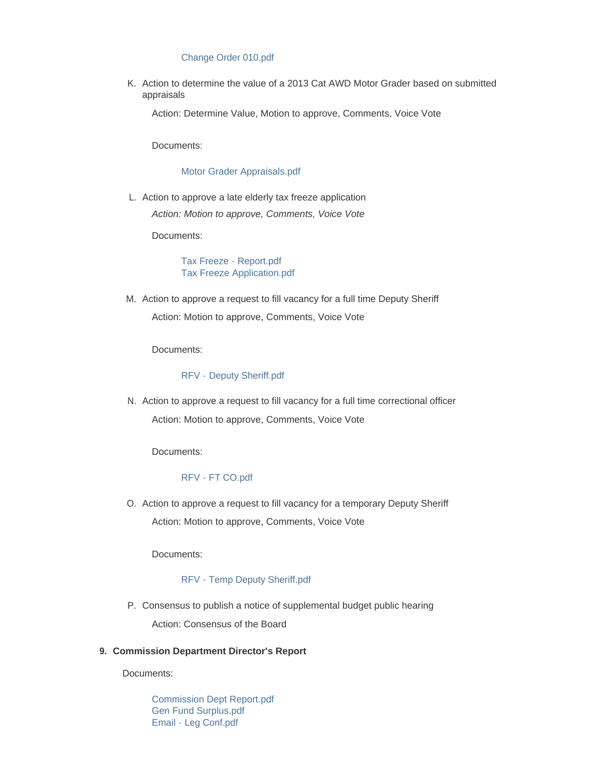### [Change Order 010.pdf](http://sd-brookingscounty2.civicplus.com/AgendaCenter/ViewFile/Item/11756?fileID=9903)

K. Action to determine the value of a 2013 Cat AWD Motor Grader based on submitted appraisals

Action: Determine Value, Motion to approve, Comments, Voice Vote

Documents:

### [Motor Grader Appraisals.pdf](http://sd-brookingscounty2.civicplus.com/AgendaCenter/ViewFile/Item/11757?fileID=9904)

L. Action to approve a late elderly tax freeze application *Action: Motion to approve, Comments, Voice Vote*

Documents:

[Tax Freeze - Report.pdf](http://sd-brookingscounty2.civicplus.com/AgendaCenter/ViewFile/Item/11758?fileID=9915) [Tax Freeze Application.pdf](http://sd-brookingscounty2.civicplus.com/AgendaCenter/ViewFile/Item/11758?fileID=9916)

Action to approve a request to fill vacancy for a full time Deputy Sheriff M. Action: Motion to approve, Comments, Voice Vote

Documents:

### [RFV - Deputy Sheriff.pdf](http://sd-brookingscounty2.civicplus.com/AgendaCenter/ViewFile/Item/11759?fileID=9905)

Action to approve a request to fill vacancy for a full time correctional officer N. Action: Motion to approve, Comments, Voice Vote

Documents:

# [RFV - FT CO.pdf](http://sd-brookingscounty2.civicplus.com/AgendaCenter/ViewFile/Item/11760?fileID=9906)

O. Action to approve a request to fill vacancy for a temporary Deputy Sheriff Action: Motion to approve, Comments, Voice Vote

Documents:

## [RFV - Temp Deputy Sheriff.pdf](http://sd-brookingscounty2.civicplus.com/AgendaCenter/ViewFile/Item/11761?fileID=9907)

P. Consensus to publish a notice of supplemental budget public hearing Action: Consensus of the Board

#### **Commission Department Director's Report 9.**

Documents:

[Commission Dept Report.pdf](http://sd-brookingscounty2.civicplus.com/AgendaCenter/ViewFile/Item/11763?fileID=9908) [Gen Fund Surplus.pdf](http://sd-brookingscounty2.civicplus.com/AgendaCenter/ViewFile/Item/11763?fileID=9909) [Email - Leg Conf.pdf](http://sd-brookingscounty2.civicplus.com/AgendaCenter/ViewFile/Item/11763?fileID=9910)